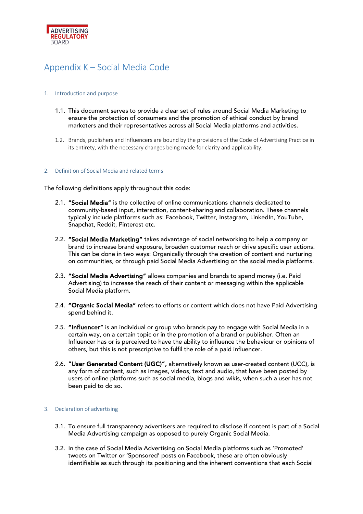

# Appendix K – Social Media Code

## 1. Introduction and purpose

- 1.1. This document serves to provide a clear set of rules around Social Media Marketing to ensure the protection of consumers and the promotion of ethical conduct by brand marketers and their representatives across all Social Media platforms and activities.
- 1.2. Brands, publishers and influencers are bound by the provisions of the Code of Advertising Practice in its entirety, with the necessary changes being made for clarity and applicability.

### 2. Definition of Social Media and related terms

The following definitions apply throughout this code:

- 2.1. "Social Media" is the collective of online communications channels dedicated to community-based input, interaction, content-sharing and collaboration. These channels typically include platforms such as: Facebook, Twitter, Instagram, LinkedIn, YouTube, Snapchat, Reddit, Pinterest etc.
- 2.2. "Social Media Marketing" takes advantage of social networking to help a company or brand to increase brand exposure, broaden customer reach or drive specific user actions. This can be done in two ways: Organically through the creation of content and nurturing on communities, or through paid Social Media Advertising on the social media platforms.
- 2.3. "Social Media Advertising" allows companies and brands to spend money (i.e. Paid Advertising) to increase the reach of their content or messaging within the applicable Social Media platform.
- 2.4. "Organic Social Media" refers to efforts or content which does not have Paid Advertising spend behind it.
- 2.5. "Influencer" is an individual or group who brands pay to engage with Social Media in a certain way, on a certain topic or in the promotion of a brand or publisher. Often an Influencer has or is perceived to have the ability to influence the behaviour or opinions of others, but this is not prescriptive to fulfil the role of a paid influencer.
- 2.6. "User Generated Content (UGC)", alternatively known as user-created content (UCC), is any form of content, such as images, videos, text and audio, that have been posted by users of online platforms such as social media, blogs and wikis, when such a user has not been paid to do so.

### 3. Declaration of advertising

- 3.1. To ensure full transparency advertisers are required to disclose if content is part of a Social Media Advertising campaign as opposed to purely Organic Social Media.
- 3.2. In the case of Social Media Advertising on Social Media platforms such as 'Promoted' tweets on Twitter or 'Sponsored' posts on Facebook, these are often obviously identifiable as such through its positioning and the inherent conventions that each Social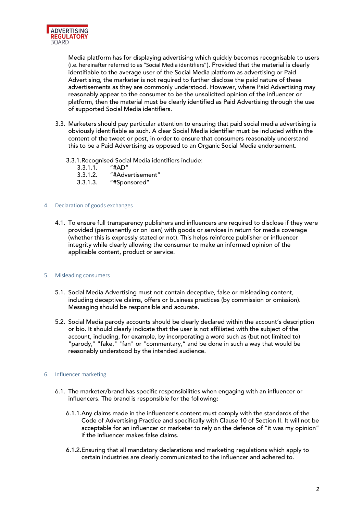

Media platform has for displaying advertising which quickly becomes recognisable to users (i.e. hereinafter referred to as "Social Media identifiers"). Provided that the material is clearly identifiable to the average user of the Social Media platform as advertising or Paid Advertising, the marketer is not required to further disclose the paid nature of these advertisements as they are commonly understood. However, where Paid Advertising may reasonably appear to the consumer to be the unsolicited opinion of the influencer or platform, then the material must be clearly identified as Paid Advertising through the use of supported Social Media identifiers.

- 3.3. Marketers should pay particular attention to ensuring that paid social media advertising is obviously identifiable as such. A clear Social Media identifier must be included within the content of the tweet or post, in order to ensure that consumers reasonably understand this to be a Paid Advertising as opposed to an Organic Social Media endorsement.
	- 3.3.1.Recognised Social Media identifiers include:
		- $3.3.1.1.$
		- 3.3.1.2. "#Advertisement"
		- 3.3.1.3. "#Sponsored"

### 4. Declaration of goods exchanges

4.1. To ensure full transparency publishers and influencers are required to disclose if they were provided (permanently or on loan) with goods or services in return for media coverage (whether this is expressly stated or not). This helps reinforce publisher or influencer integrity while clearly allowing the consumer to make an informed opinion of the applicable content, product or service.

### 5. Misleading consumers

- 5.1. Social Media Advertising must not contain deceptive, false or misleading content, including deceptive claims, offers or business practices (by commission or omission). Messaging should be responsible and accurate.
- 5.2. Social Media parody accounts should be clearly declared within the account's description or bio. It should clearly indicate that the user is not affiliated with the subject of the account, including, for example, by incorporating a word such as (but not limited to) "parody," "fake," "fan" or "commentary," and be done in such a way that would be reasonably understood by the intended audience.

### 6. Influencer marketing

- 6.1. The marketer/brand has specific responsibilities when engaging with an influencer or influencers. The brand is responsible for the following:
	- 6.1.1.Any claims made in the influencer's content must comply with the standards of the Code of Advertising Practice and specifically with Clause 10 of Section II. It will not be acceptable for an influencer or marketer to rely on the defence of "it was my opinion" if the influencer makes false claims.
	- 6.1.2.Ensuring that all mandatory declarations and marketing regulations which apply to certain industries are clearly communicated to the influencer and adhered to.